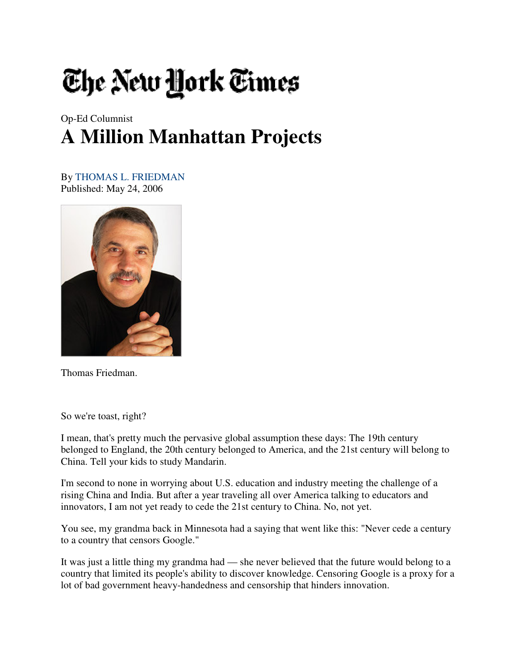## The New York Times

## Op-Ed Columnist **A Million Manhattan Projects**

By THOMAS L. FRIEDMAN Published: May 24, 2006



Thomas Friedman.

So we're toast, right?

I mean, that's pretty much the pervasive global assumption these days: The 19th century belonged to England, the 20th century belonged to America, and the 21st century will belong to China. Tell your kids to study Mandarin.

I'm second to none in worrying about U.S. education and industry meeting the challenge of a rising China and India. But after a year traveling all over America talking to educators and innovators, I am not yet ready to cede the 21st century to China. No, not yet.

You see, my grandma back in Minnesota had a saying that went like this: "Never cede a century to a country that censors Google."

It was just a little thing my grandma had — she never believed that the future would belong to a country that limited its people's ability to discover knowledge. Censoring Google is a proxy for a lot of bad government heavy-handedness and censorship that hinders innovation.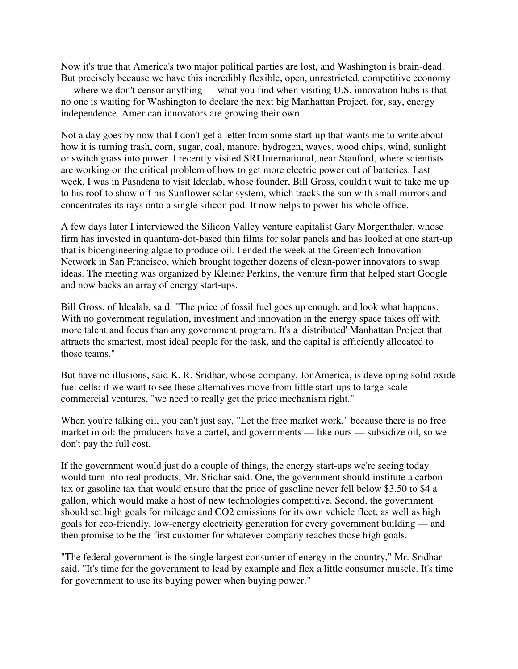Now it's true that America's two major political parties are lost, and Washington is brain-dead. But precisely because we have this incredibly flexible, open, unrestricted, competitive economy — where we don't censor anything — what you find when visiting U.S. innovation hubs is that no one is waiting for Washington to declare the next big Manhattan Project, for, say, energy independence. American innovators are growing their own.

Not a day goes by now that I don't get a letter from some start-up that wants me to write about how it is turning trash, corn, sugar, coal, manure, hydrogen, waves, wood chips, wind, sunlight or switch grass into power. I recently visited SRI International, near Stanford, where scientists are working on the critical problem of how to get more electric power out of batteries. Last week, I was in Pasadena to visit Idealab, whose founder, Bill Gross, couldn't wait to take me up to his roof to show off his Sunflower solar system, which tracks the sun with small mirrors and concentrates its rays onto a single silicon pod. It now helps to power his whole office.

A few days later I interviewed the Silicon Valley venture capitalist Gary Morgenthaler, whose firm has invested in quantum-dot-based thin films for solar panels and has looked at one start-up that is bioengineering algae to produce oil. I ended the week at the Greentech Innovation Network in San Francisco, which brought together dozens of clean-power innovators to swap ideas. The meeting was organized by Kleiner Perkins, the venture firm that helped start Google and now backs an array of energy start-ups.

Bill Gross, of Idealab, said: "The price of fossil fuel goes up enough, and look what happens. With no government regulation, investment and innovation in the energy space takes off with more talent and focus than any government program. It's a 'distributed' Manhattan Project that attracts the smartest, most ideal people for the task, and the capital is efficiently allocated to those teams."

But have no illusions, said K. R. Sridhar, whose company, IonAmerica, is developing solid oxide fuel cells: if we want to see these alternatives move from little start-ups to large-scale commercial ventures, "we need to really get the price mechanism right."

When you're talking oil, you can't just say, "Let the free market work," because there is no free market in oil: the producers have a cartel, and governments — like ours — subsidize oil, so we don't pay the full cost.

If the government would just do a couple of things, the energy start-ups we're seeing today would turn into real products, Mr. Sridhar said. One, the government should institute a carbon tax or gasoline tax that would ensure that the price of gasoline never fell below \$3.50 to \$4 a gallon, which would make a host of new technologies competitive. Second, the government should set high goals for mileage and CO2 emissions for its own vehicle fleet, as well as high goals for eco-friendly, low-energy electricity generation for every government building — and then promise to be the first customer for whatever company reaches those high goals.

"The federal government is the single largest consumer of energy in the country," Mr. Sridhar said. "It's time for the government to lead by example and flex a little consumer muscle. It's time for government to use its buying power when buying power."